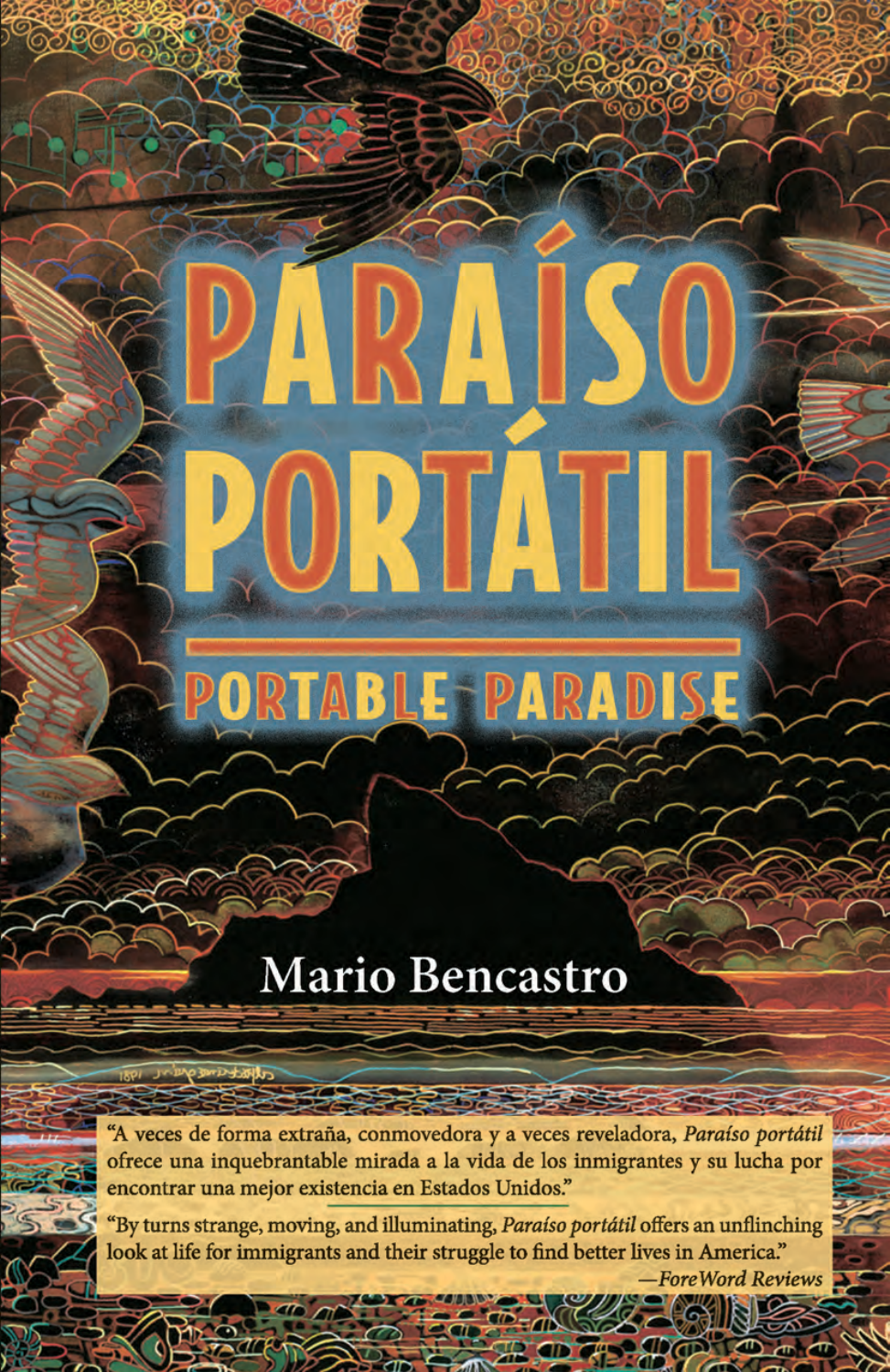### Mario Bencastro

ORTAL

ORTABLE PARADISE

"A veces de forma extraña, conmovedora y a veces reveladora, Paraíso portátil ofrece una inquebrantable mirada a la vida de los inmigrantes y su lucha por encontrar una mejor existencia en Estados Unidos."

"By turns strange, moving, and illuminating, Paraíso portátil offers an unflinching look at life for immigrants and their struggle to find better lives in America."

**ForeWord Reviews** 

 $\mathbb{R}$  or

**ab que de**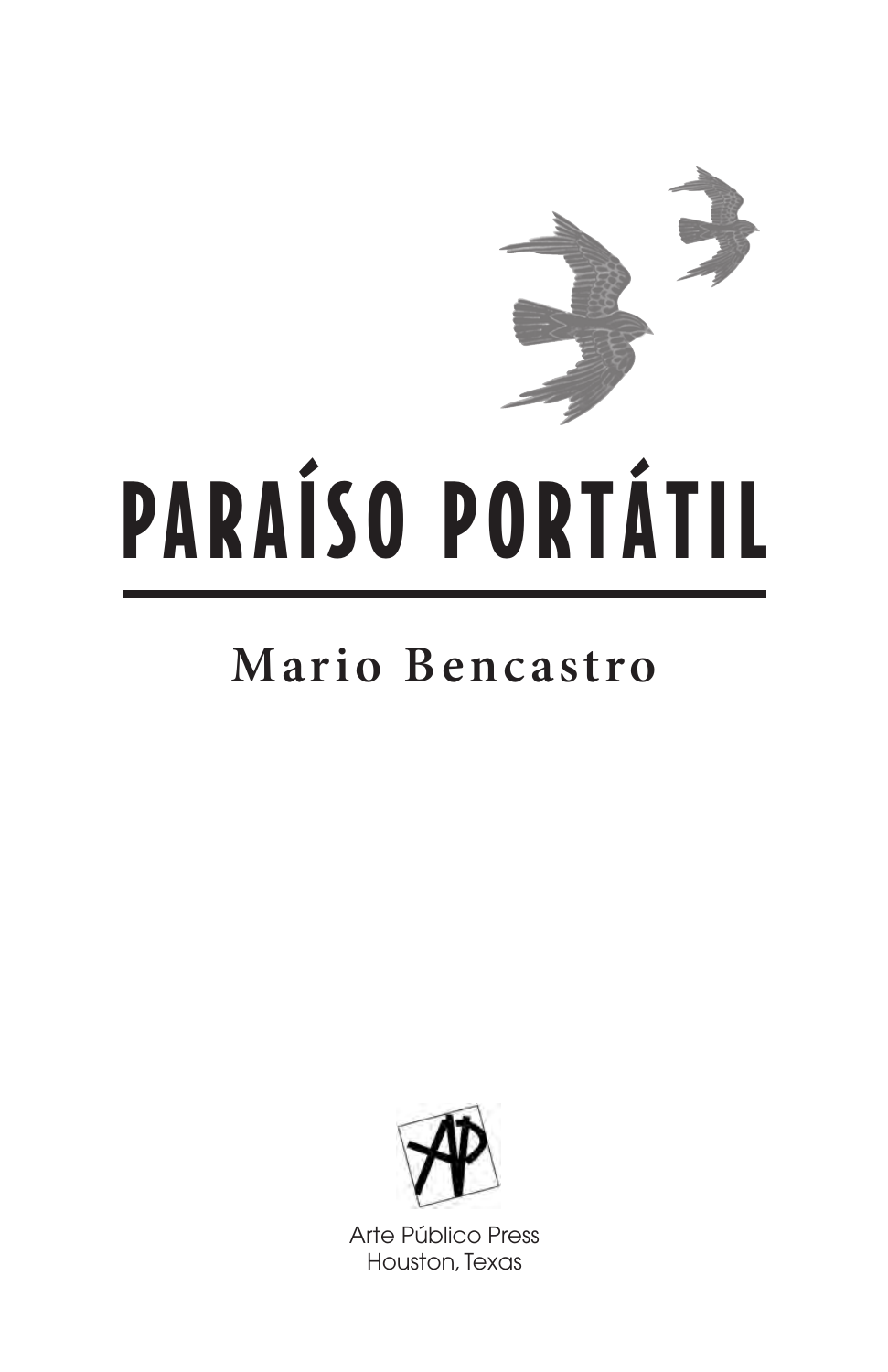

# PARAÍSO PORTÁTIL

### Mario Bencastro



Arte Público Press Houston, Texas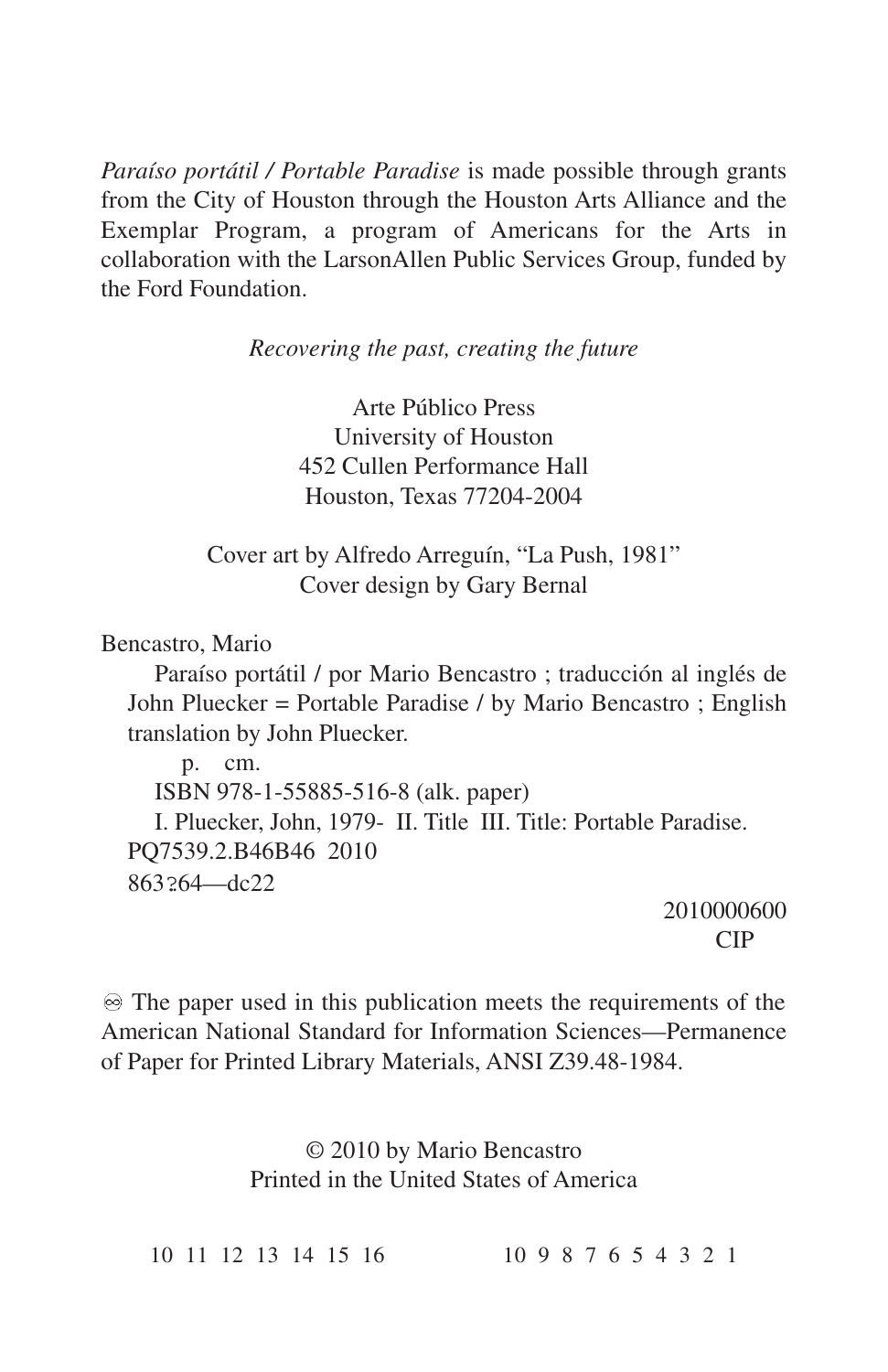*Paraíso portátil / Portable Paradise* is made possible through grants from the City of Houston through the Houston Arts Alliance and the Exemplar Program, a program of Americans for the Arts in collaboration with the LarsonAllen Public Services Group, funded by the Ford Foundation.

*Recovering the past, creating the future*

Arte Público Press University of Houston 452 Cullen Performance Hall Houston, Texas 77204-2004

Cover art by Alfredo Arreguín, "La Push, 1981" Cover design by Gary Bernal

Bencastro, Mario

Paraíso portátil / por Mario Bencastro ; traducción al inglés de John Pluecker = Portable Paradise / by Mario Bencastro ; English translation by John Pluecker.

p. cm. ISBN 978-1-55885-516-8 (alk. paper) I. Pluecker, John, 1979- II. Title III. Title: Portable Paradise. PQ7539.2.B46B46 2010 863?64—dc22

2010000600 CIP

 $\otimes$  The paper used in this publication meets the requirements of the American National Standard for Information Sciences—Permanence of Paper for Printed Library Materials, ANSI Z39.48-1984.

> © 2010 by Mario Bencastro Printed in the United States of America

10 11 12 13 14 15 16 10 9 8 7 6 5 4 3 2 1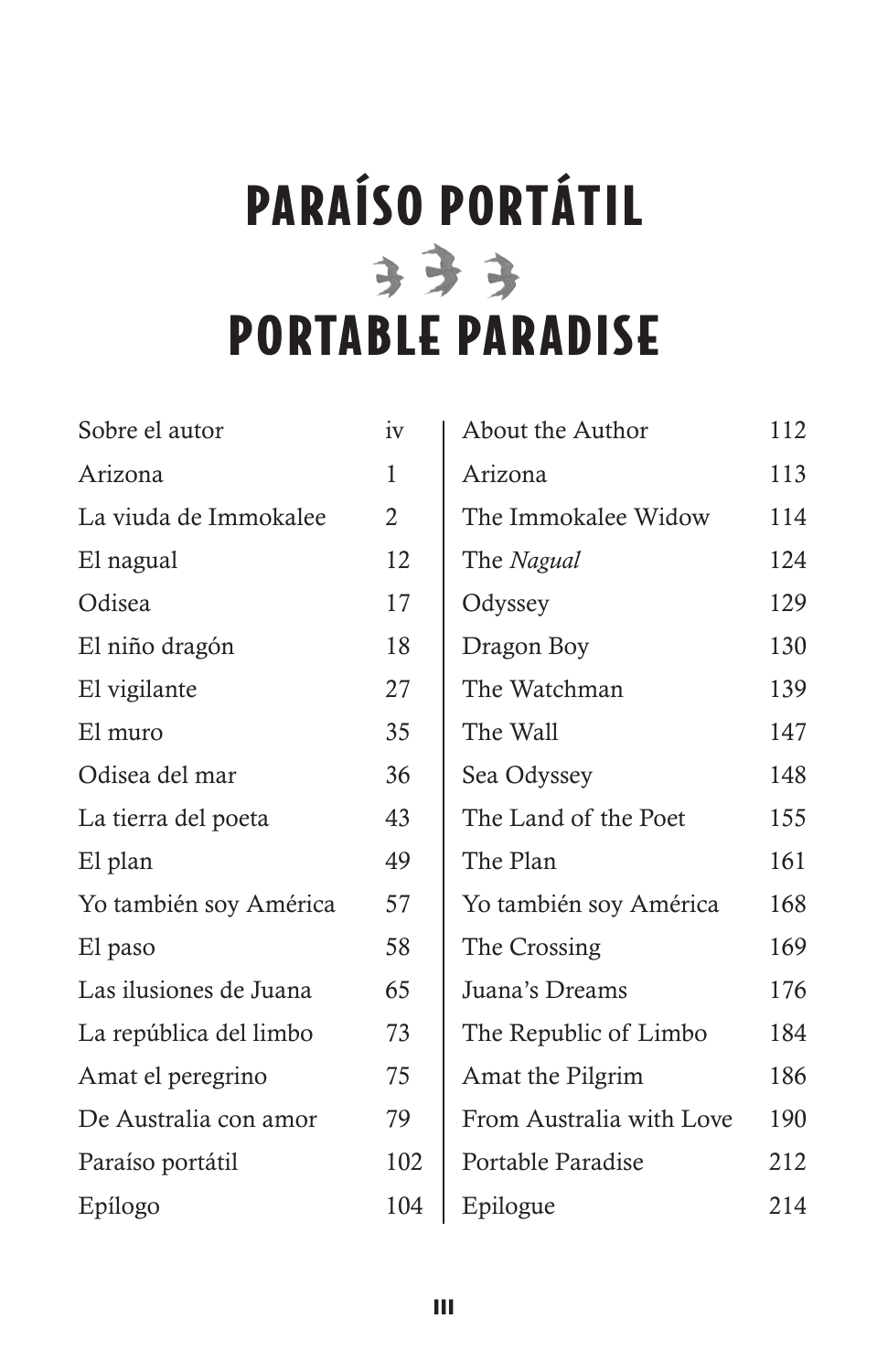# **PARAÍSO PORTÁTIL PORTABLE PARADISE**

| Sobre el autor         | iv             |
|------------------------|----------------|
| Arizona                | 1              |
| La viuda de Immokalee  | $\overline{2}$ |
| El nagual              | 12             |
| Odisea                 | 17             |
| El niño dragón         | 18             |
| El vigilante           | 27             |
| El muro                | 35             |
| Odisea del mar         | 36             |
| La tierra del poeta    | 43             |
| El plan                | 49             |
| Yo también soy América | 57             |
| El paso                | 58             |
| Las ilusiones de Juana | 65             |
| La república del limbo | 73             |
| Amat el peregrino      | 75             |
| De Australia con amor  | 79             |
| Paraíso portátil       | 102            |
| Epílogo                | 104            |

| About the Author         | 112 |
|--------------------------|-----|
| Arizona                  | 113 |
| The Immokalee Widow      | 114 |
| The Nagual               | 124 |
| Odyssey                  | 129 |
| Dragon Boy               | 130 |
| The Watchman             | 139 |
| The Wall                 | 147 |
| Sea Odyssey              | 148 |
| The Land of the Poet     | 155 |
| The Plan                 | 161 |
| Yo también soy América   | 168 |
| The Crossing             | 169 |
| Juana's Dreams           | 176 |
| The Republic of Limbo    | 184 |
| Amat the Pilgrim         | 186 |
| From Australia with Love | 190 |
| Portable Paradise        | 212 |
| Epilogue                 | 214 |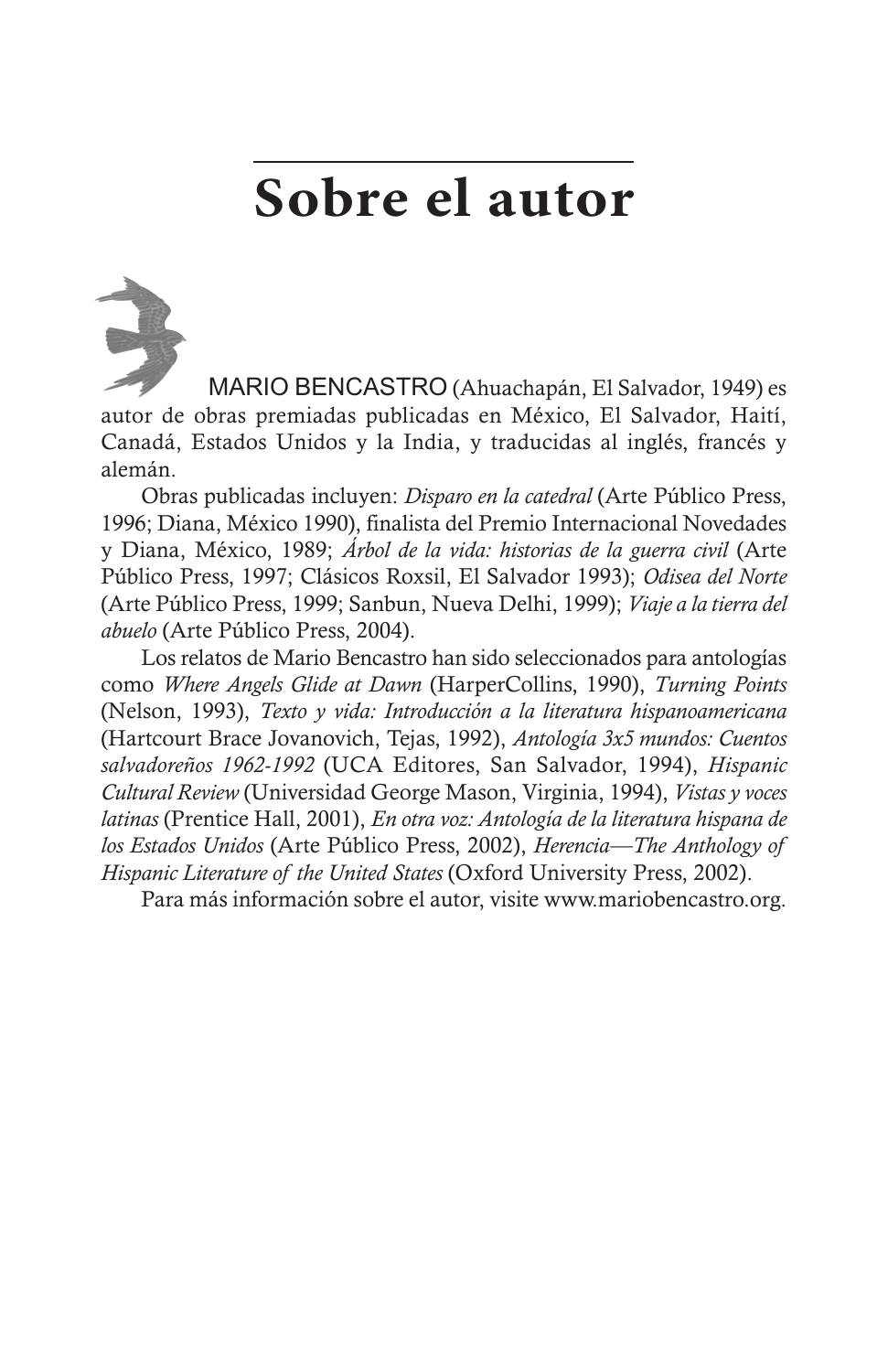# **Sobre el autor**



MARIO BENCASTRO (Ahuachapán, El Salvador, 1949) es autor de obras premiadas publicadas en México, El Salvador, Haití, Canadá, Estados Unidos y la India, y traducidas al inglés, francés y alemán.

Obras publicadas incluyen: *Disparo en la catedral* (Arte Público Press, 1996; Diana, México 1990), finalista del Premio Internacional Novedades y Diana, México, 1989; *Árbol de la vida: historias de la guerra civil* (Arte Público Press, 1997; Clásicos Roxsil, El Salvador 1993); *Odisea del Norte* (Arte Público Press, 1999; Sanbun, Nueva Delhi, 1999); *Viaje a la tierra del abuelo* (Arte Público Press, 2004).

Los relatos de Mario Bencastro han sido seleccionados para antologías como *Where Angels Glide at Dawn* (HarperCollins, 1990), *Turning Points* (Nelson, 1993), *Texto y vida: Introducción a la literatura hispanoamericana* (Hartcourt Brace Jovanovich, Tejas, 1992), *Antología 3x5 mundos: Cuentos salvadoreños 1962-1992* (UCA Editores, San Salvador, 1994), *Hispanic Cultural Review* (Universidad George Mason, Virginia, 1994), *Vistas y voces latinas* (Prentice Hall, 2001), *En otra voz: Antología de la literatura hispana de los Estados Unidos* (Arte Público Press, 2002), *Herencia—The Anthology of Hispanic Literature of the United States* (Oxford University Press, 2002).

Para más información sobre el autor, visite www.mariobencastro.org.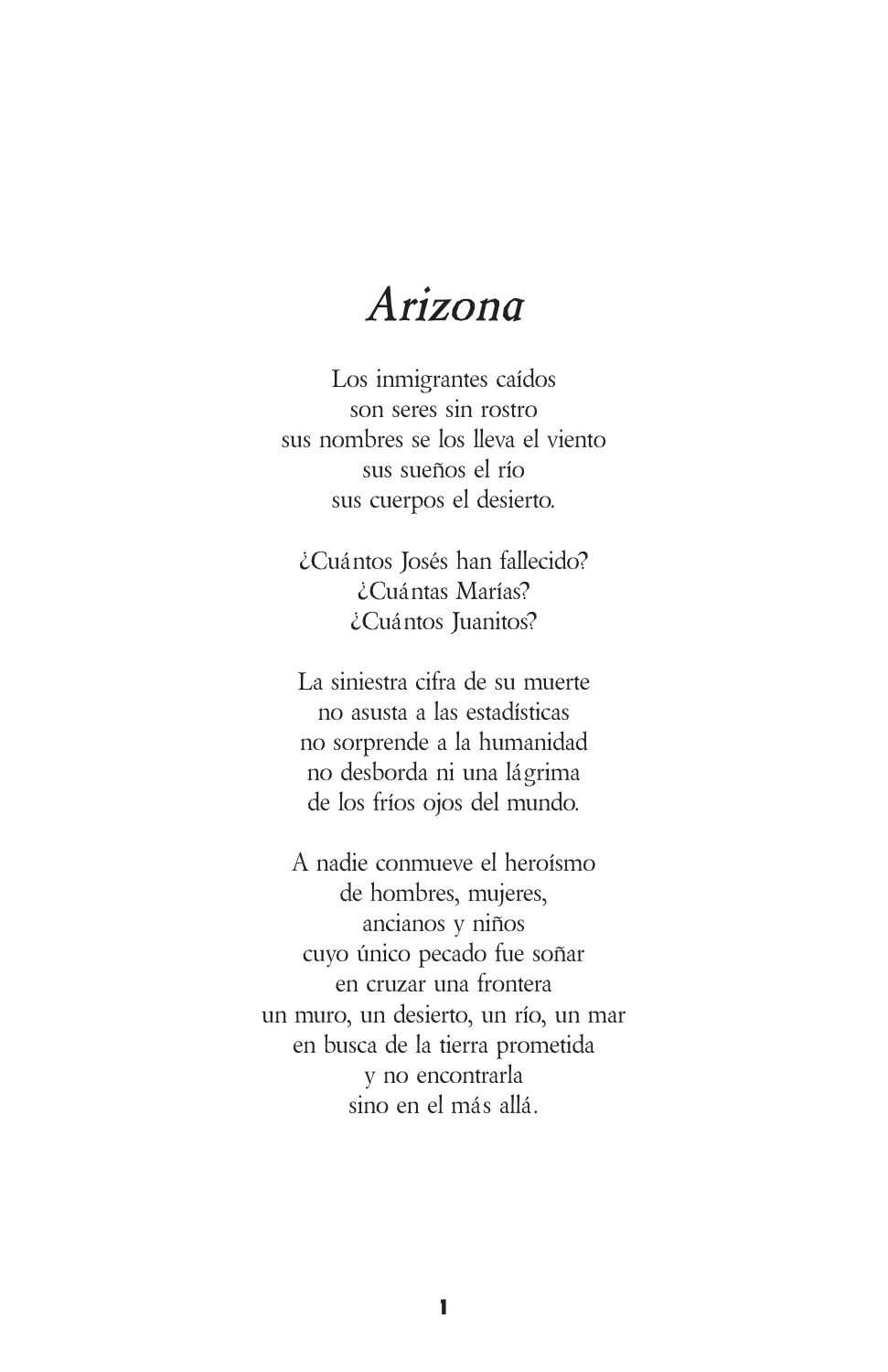#### *Arizona*

Los inmigrantes caídos son seres sin rostro sus nombres se los lleva el viento sus sueños el río sus cuerpos el desierto.

¿Cuántos Josés han fallecido? ¿Cuántas Marías? ¿Cuántos Juanitos?

La siniestra cifra de su muerte no asusta a las estadísticas no sorprende a la humanidad no desborda ni una lágrima de los fríos ojos del mundo.

A nadie conmueve el heroísmo de hombres, mujeres, ancianos y niños cuyo único pecado fue soñar en cruzar una frontera un muro, un desierto, un río, un mar en busca de la tierra prometida y no encontrarla sino en el más allá.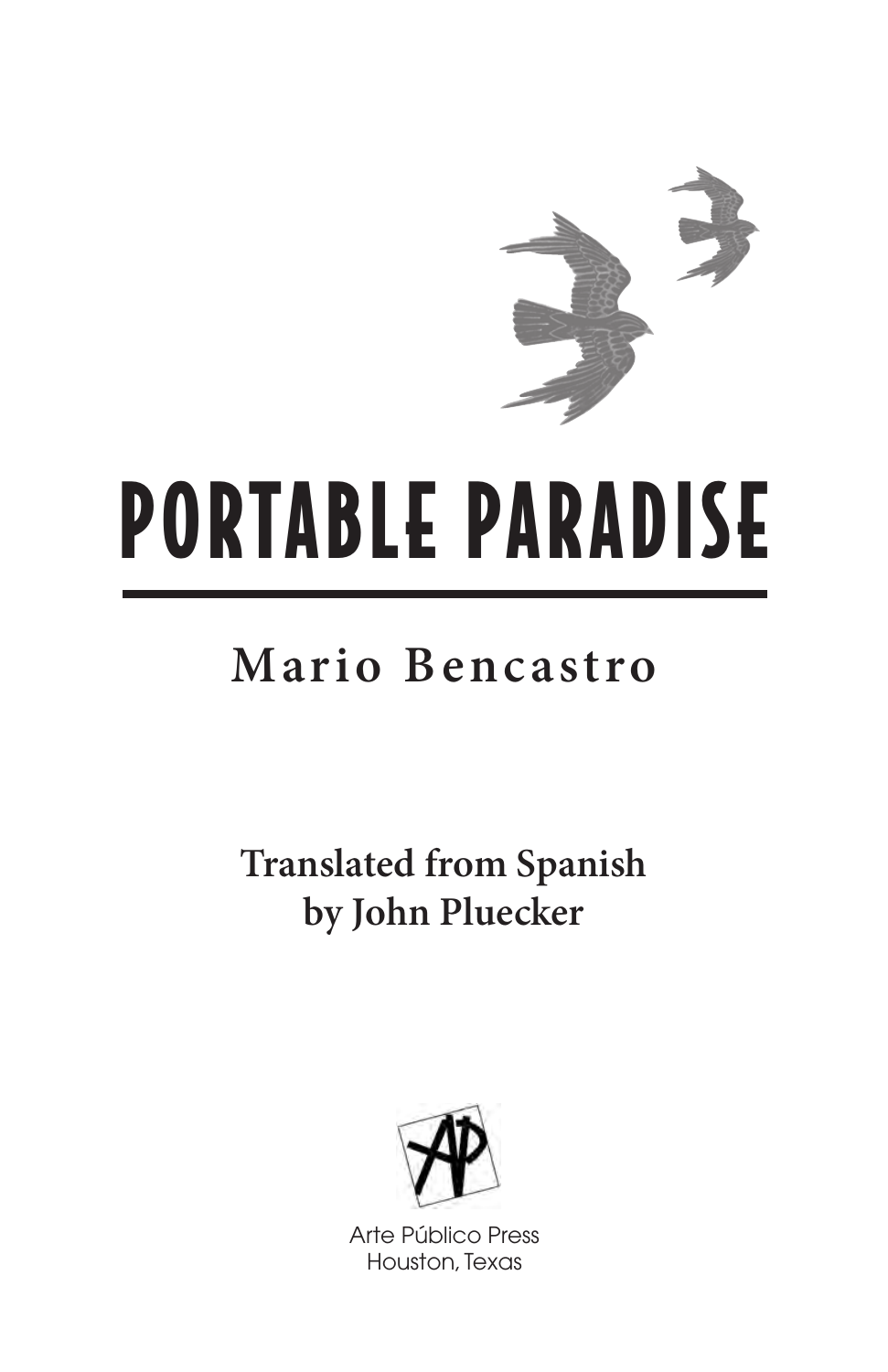

# **PORTABLE PARADISE**

## **Mario Bencastro**

**Translated from Spanish by John Pluecker**



Arte Público Press Houston, Texas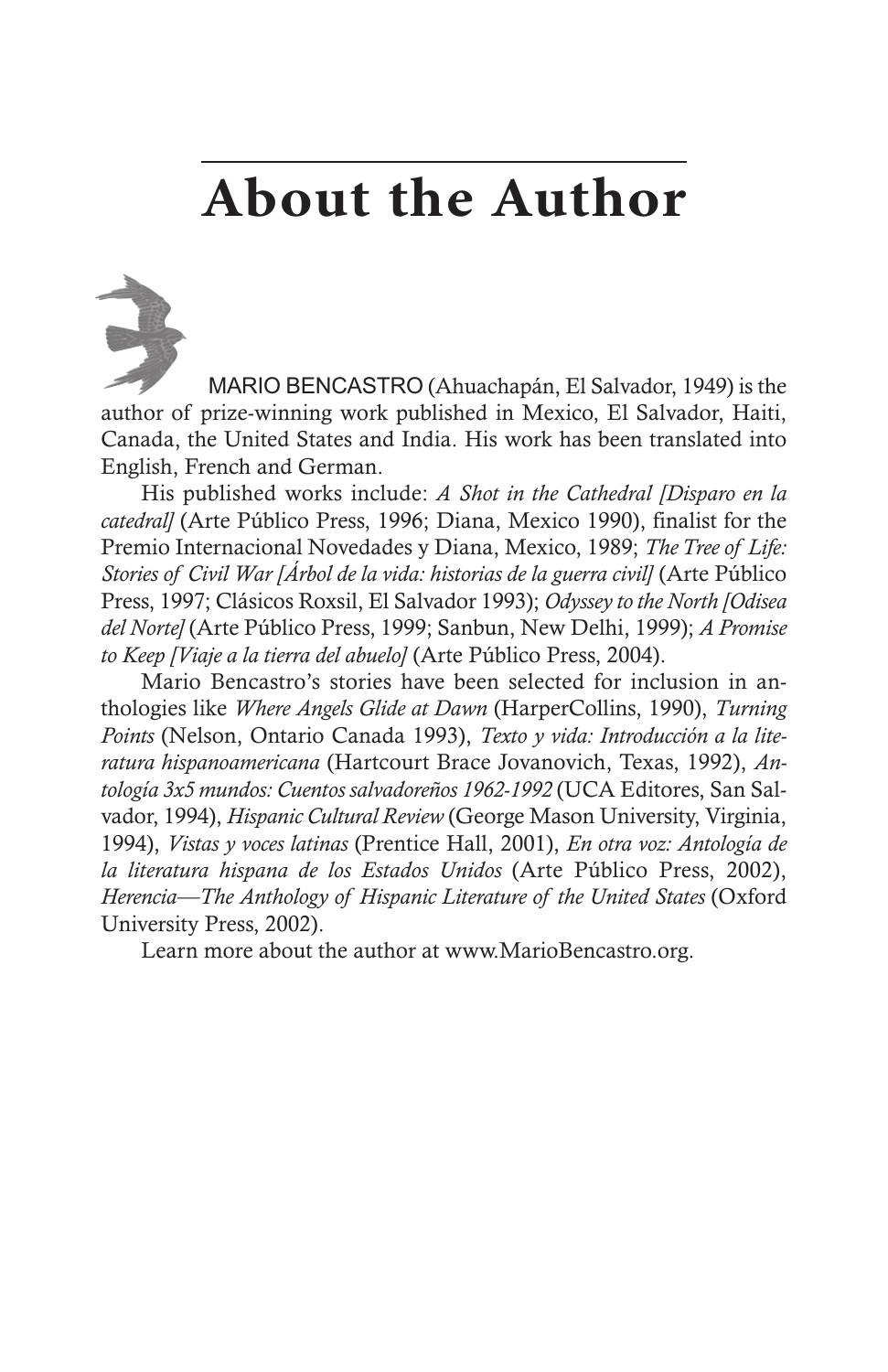# **About the Author**

MARIO BENCASTRO (Ahuachapán, El Salvador, 1949) is the author of prize-winning work published in Mexico, El Salvador, Haiti, Canada, the United States and India. His work has been translated into English, French and German.

His published works include: *A Shot in the Cathedral [Disparo en la catedral]* (Arte Público Press, 1996; Diana, Mexico 1990), finalist for the Premio Internacional Novedades y Diana, Mexico, 1989; *TheTree of Life: Stories of Civil War [Árbol de la vida: historias de la guerra civil]* (Arte Público Press, 1997; Clásicos Roxsil, El Salvador 1993); *Odyssey to the North [Odisea del Norte]* (Arte Público Press, 1999; Sanbun, New Delhi, 1999); *A Promise to Keep [Viaje a la tierra del abuelo]* (Arte Público Press, 2004).

Mario Bencastro's stories have been selected for inclusion in anthologies like *Where Angels Glide at Dawn* (HarperCollins, 1990), *Turning Points* (Nelson, Ontario Canada 1993), *Texto y vida: Introducción a la literatura hispanoamericana* (Hartcourt Brace Jovanovich, Texas, 1992), *Antología 3x5 mundos: Cuentos salvadoreños 1962-1992* (UCA Editores, San Salvador, 1994), *Hispanic Cultural Review* (George Mason University, Virginia, 1994), *Vistas y voces latinas* (Prentice Hall, 2001), *En otra voz: Antología de la literatura hispana de los Estados Unidos* (Arte Público Press, 2002), *Herencia—The Anthology of Hispanic Literature of the United States* (Oxford University Press, 2002).

Learn more about the author at www.MarioBencastro.org.